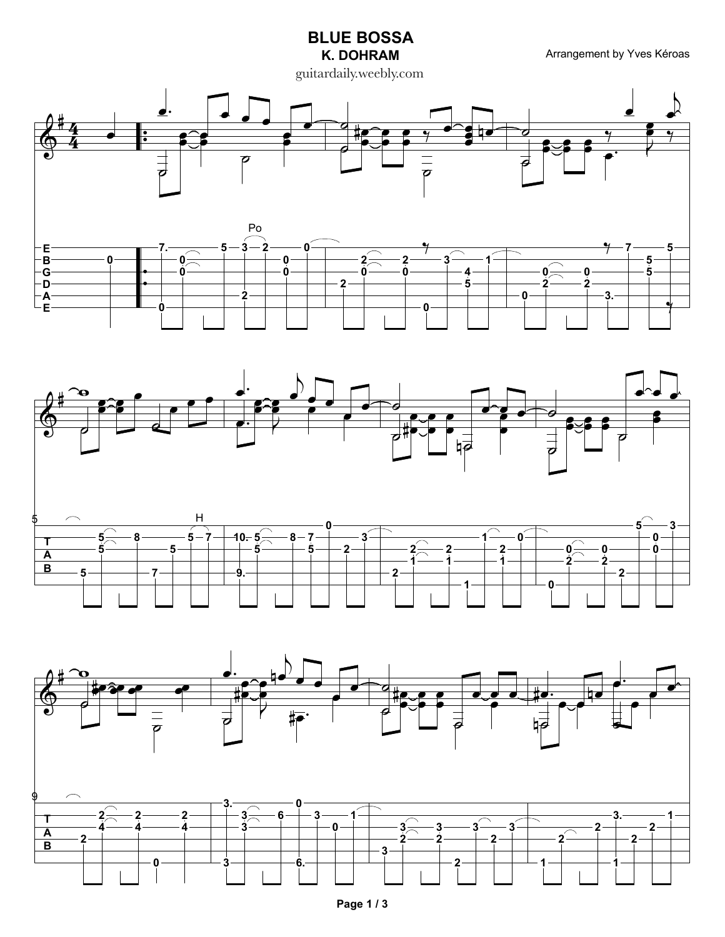## **BLUE BOSSA**

**K. DOHRAM Arrangement by Yves Kéroas** 

guitardaily.weebly.com





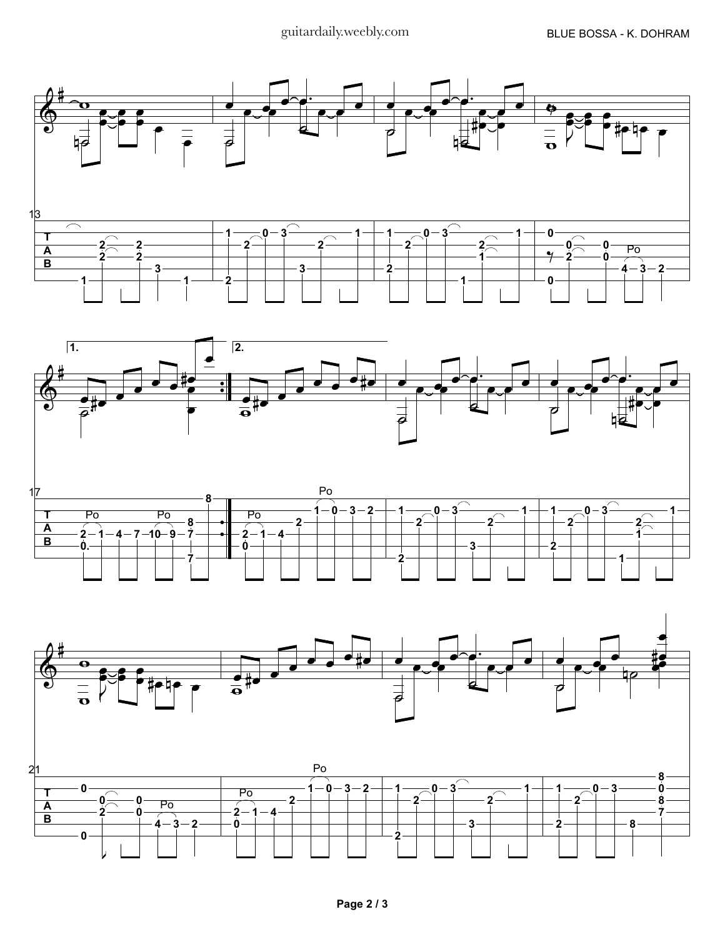